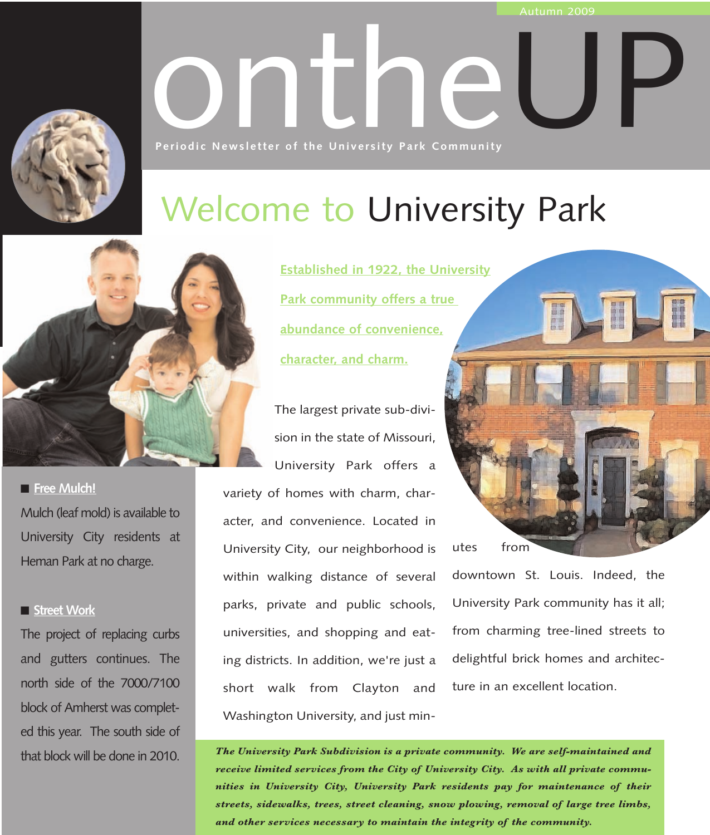

# Onthe University Park Community **Periodic Newsletter of the University Park Community**

### Welcome to University Park



■ **Free Mulch!** Mulch (leaf mold) is available to University City residents at Heman Park at no charge.

#### ■ **Street Work**

The project of replacing curbs and gutters continues. The north side of the 7000/7100 block of Amherst was completed this year. The south side of that block will be done in 2010. **Established in 1922, the University Park community offers a true abundance of convenience, character, and charm.**

The largest private sub-division in the state of Missouri, University Park offers a variety of homes with charm, character, and convenience. Located in University City, our neighborhood is within walking distance of several parks, private and public schools, universities, and shopping and eating districts. In addition, we're just a short walk from Clayton and Washington University, and just min-

utes from

downtown St. Louis. Indeed, the University Park community has it all; from charming tree-lined streets to delightful brick homes and architecture in an excellent location.

*The University Park Subdivision is a private community. We are self-maintained and receive limited services from the City of University City. As with all private communities in University City, University Park residents pay for maintenance of their streets, sidewalks, trees, street cleaning, snow plowing, removal of large tree limbs, and other services necessary to maintain the integrity of the community.*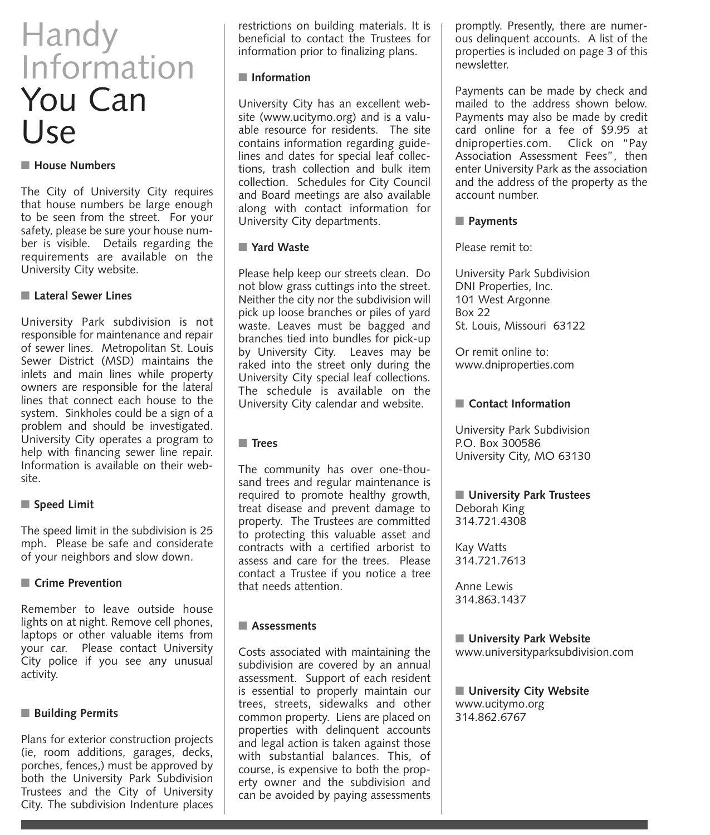### Handy Information You Can Use

#### ■ **House Numbers**

The City of University City requires that house numbers be large enough to be seen from the street. For your safety, please be sure your house number is visible. Details regarding the requirements are available on the University City website.

#### ■ **Lateral Sewer Lines**

University Park subdivision is not responsible for maintenance and repair of sewer lines. Metropolitan St. Louis Sewer District (MSD) maintains the inlets and main lines while property owners are responsible for the lateral lines that connect each house to the system. Sinkholes could be a sign of a problem and should be investigated. University City operates a program to help with financing sewer line repair. Information is available on their website.

#### ■ **Speed Limit**

The speed limit in the subdivision is 25 mph. Please be safe and considerate of your neighbors and slow down.

#### ■ Crime Prevention

Remember to leave outside house lights on at night. Remove cell phones, laptops or other valuable items from your car. Please contact University City police if you see any unusual activity.

#### ■ **Building Permits**

Plans for exterior construction projects (ie, room additions, garages, decks, porches, fences,) must be approved by both the University Park Subdivision Trustees and the City of University City. The subdivision Indenture places

restrictions on building materials. It is beneficial to contact the Trustees for information prior to finalizing plans.

#### ■ **Information**

University City has an excellent website (www.ucitymo.org) and is a valuable resource for residents. The site contains information regarding guidelines and dates for special leaf collections, trash collection and bulk item collection. Schedules for City Council and Board meetings are also available along with contact information for University City departments.

#### ■ **Yard Waste**

Please help keep our streets clean. Do not blow grass cuttings into the street. Neither the city nor the subdivision will pick up loose branches or piles of yard waste. Leaves must be bagged and branches tied into bundles for pick-up by University City. Leaves may be raked into the street only during the University City special leaf collections. The schedule is available on the University City calendar and website.

#### ■ **Trees**

The community has over one-thousand trees and regular maintenance is required to promote healthy growth, treat disease and prevent damage to property. The Trustees are committed to protecting this valuable asset and contracts with a certified arborist to assess and care for the trees. Please contact a Trustee if you notice a tree that needs attention.

#### ■ **Assessments**

Costs associated with maintaining the subdivision are covered by an annual assessment. Support of each resident is essential to properly maintain our trees, streets, sidewalks and other common property. Liens are placed on properties with delinquent accounts and legal action is taken against those with substantial balances. This, of course, is expensive to both the property owner and the subdivision and can be avoided by paying assessments

promptly. Presently, there are numerous delinquent accounts. A list of the properties is included on page 3 of this newsletter.

Payments can be made by check and mailed to the address shown below. Payments may also be made by credit card online for a fee of \$9.95 at dniproperties.com. Click on "Pay Association Assessment Fees", then enter University Park as the association and the address of the property as the account number.

#### ■ **Payments**

Please remit to:

University Park Subdivision DNI Properties, Inc. 101 West Argonne Box 22 St. Louis, Missouri 63122

Or remit online to: www.dniproperties.com

#### ■ **Contact Information**

University Park Subdivision P.O. Box 300586 University City, MO 63130

#### ■ **University Park Trustees** Deborah King 314.721.4308

Kay Watts 314.721.7613

Anne Lewis 314.863.1437

#### ■ **University Park Website**

www.universityparksubdivision.com

■ **University City Website** www.ucitymo.org 314.862.6767